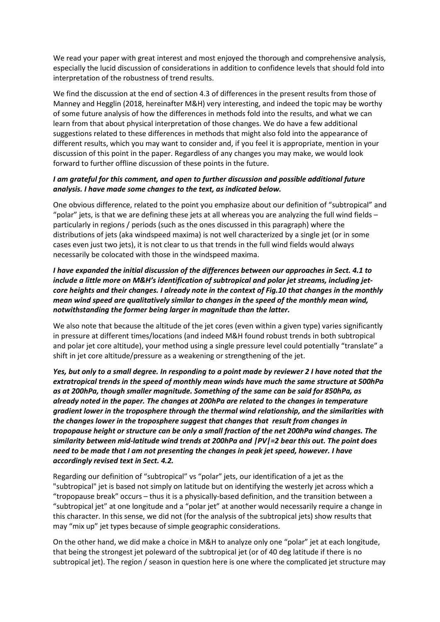We read your paper with great interest and most enjoyed the thorough and comprehensive analysis, especially the lucid discussion of considerations in addition to confidence levels that should fold into interpretation of the robustness of trend results.

We find the discussion at the end of section 4.3 of differences in the present results from those of Manney and Hegglin (2018, hereinafter M&H) very interesting, and indeed the topic may be worthy of some future analysis of how the differences in methods fold into the results, and what we can learn from that about physical interpretation of those changes. We do have a few additional suggestions related to these differences in methods that might also fold into the appearance of different results, which you may want to consider and, if you feel it is appropriate, mention in your discussion of this point in the paper. Regardless of any changes you may make, we would look forward to further offline discussion of these points in the future.

# *I am grateful for this comment, and open to further discussion and possible additional future analysis. I have made some changes to the text, as indicated below.*

One obvious difference, related to the point you emphasize about our definition of "subtropical" and "polar" jets, is that we are defining these jets at all whereas you are analyzing the full wind fields  $$ particularly in regions / periods (such as the ones discussed in this paragraph) where the distributions of jets (aka windspeed maxima) is not well characterized by a single jet (or in some cases even just two jets), it is not clear to us that trends in the full wind fields would always necessarily be colocated with those in the windspeed maxima.

*I have expanded the initial discussion of the differences between our approaches in Sect. 4.1 to include a little more on M&H's identification of subtropical and polar jet streams, including jetcore heights and their changes. I already note in the context of Fig.10 that changes in the monthly mean wind speed are qualitatively similar to changes in the speed of the monthly mean wind, notwithstanding the former being larger in magnitude than the latter.*

We also note that because the altitude of the jet cores (even within a given type) varies significantly in pressure at different times/locations (and indeed M&H found robust trends in both subtropical and polar jet core altitude), your method using a single pressure level could potentially "translate" a shift in jet core altitude/pressure as a weakening or strengthening of the jet.

*Yes, but only to a small degree. In responding to a point made by reviewer 2 I have noted that the extratropical trends in the speed of monthly mean winds have much the same structure at 500hPa as at 200hPa, though smaller magnitude. Something of the same can be said for 850hPa, as already noted in the paper. The changes at 200hPa are related to the changes in temperature gradient lower in the troposphere through the thermal wind relationship, and the similarities with the changes lower in the troposphere suggest that changes that result from changes in tropopause height or structure can be only a small fraction of the net 200hPa wind changes. The similarity between mid-latitude wind trends at 200hPa and |PV|=2 bear this out. The point does need to be made that I am not presenting the changes in peak jet speed, however. I have accordingly revised text in Sect. 4.2.*

Regarding our definition of "subtropical" vs "polar" jets, our identification of a jet as the "subtropical" jet is based not simply on latitude but on identifying the westerly jet across which a "tropopause break" occurs – thus it is a physically-based definition, and the transition between a "subtropical jet" at one longitude and a "polar jet" at another would necessarily require a change in this character. In this sense, we did not (for the analysis of the subtropical jets) show results that may "mix up" jet types because of simple geographic considerations.

On the other hand, we did make a choice in M&H to analyze only one "polar" jet at each longitude, that being the strongest jet poleward of the subtropical jet (or of 40 deg latitude if there is no subtropical jet). The region / season in question here is one where the complicated jet structure may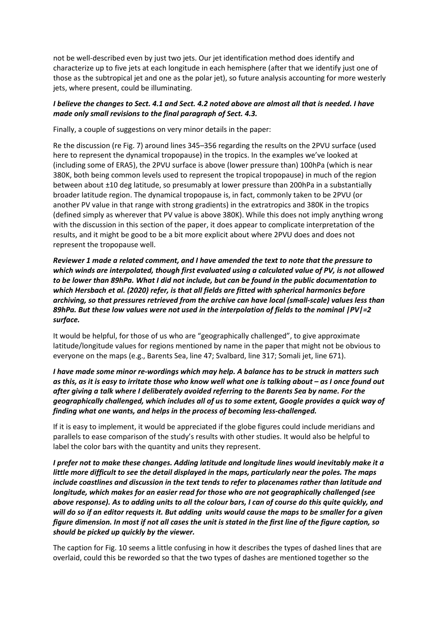not be well-described even by just two jets. Our jet identification method does identify and characterize up to five jets at each longitude in each hemisphere (after that we identify just one of those as the subtropical jet and one as the polar jet), so future analysis accounting for more westerly jets, where present, could be illuminating.

# *I believe the changes to Sect. 4.1 and Sect. 4.2 noted above are almost all that is needed. I have made only small revisions to the final paragraph of Sect. 4.3.*

Finally, a couple of suggestions on very minor details in the paper:

Re the discussion (re Fig. 7) around lines 345–356 regarding the results on the 2PVU surface (used here to represent the dynamical tropopause) in the tropics. In the examples we've looked at (including some of ERA5), the 2PVU surface is above (lower pressure than) 100hPa (which is near 380K, both being common levels used to represent the tropical tropopause) in much of the region between about ±10 deg latitude, so presumably at lower pressure than 200hPa in a substantially broader latitude region. The dynamical tropopause is, in fact, commonly taken to be 2PVU (or another PV value in that range with strong gradients) in the extratropics and 380K in the tropics (defined simply as wherever that PV value is above 380K). While this does not imply anything wrong with the discussion in this section of the paper, it does appear to complicate interpretation of the results, and it might be good to be a bit more explicit about where 2PVU does and does not represent the tropopause well.

*Reviewer 1 made a related comment, and I have amended the text to note that the pressure to which winds are interpolated, though first evaluated using a calculated value of PV, is not allowed to be lower than 89hPa. What I did not include, but can be found in the public documentation to which Hersbach et al. (2020) refer, is that all fields are fitted with spherical harmonics before archiving, so that pressures retrieved from the archive can have local (small-scale) values less than 89hPa. But these low values were not used in the interpolation of fields to the nominal |PV|=2 surface.* 

It would be helpful, for those of us who are "geographically challenged", to give approximate latitude/longitude values for regions mentioned by name in the paper that might not be obvious to everyone on the maps (e.g., Barents Sea, line 47; Svalbard, line 317; Somali jet, line 671).

*I have made some minor re-wordings which may help. A balance has to be struck in matters such as this, as it is easy to irritate those who know well what one is talking about – as I once found out after giving a talk where I deliberately avoided referring to the Barents Sea by name. For the geographically challenged, which includes all of us to some extent, Google provides a quick way of finding what one wants, and helps in the process of becoming less-challenged.*

If it is easy to implement, it would be appreciated if the globe figures could include meridians and parallels to ease comparison of the study's results with other studies. It would also be helpful to label the color bars with the quantity and units they represent.

*I prefer not to make these changes. Adding latitude and longitude lines would inevitably make it a little more difficult to see the detail displayed in the maps, particularly near the poles. The maps include coastlines and discussion in the text tends to refer to placenames rather than latitude and longitude, which makes for an easier read for those who are not geographically challenged (see above response). As to adding units to all the colour bars, I can of course do this quite quickly, and will do so if an editor requests it. But adding units would cause the maps to be smaller for a given figure dimension. In most if not all cases the unit is stated in the first line of the figure caption, so should be picked up quickly by the viewer.*

The caption for Fig. 10 seems a little confusing in how it describes the types of dashed lines that are overlaid, could this be reworded so that the two types of dashes are mentioned together so the